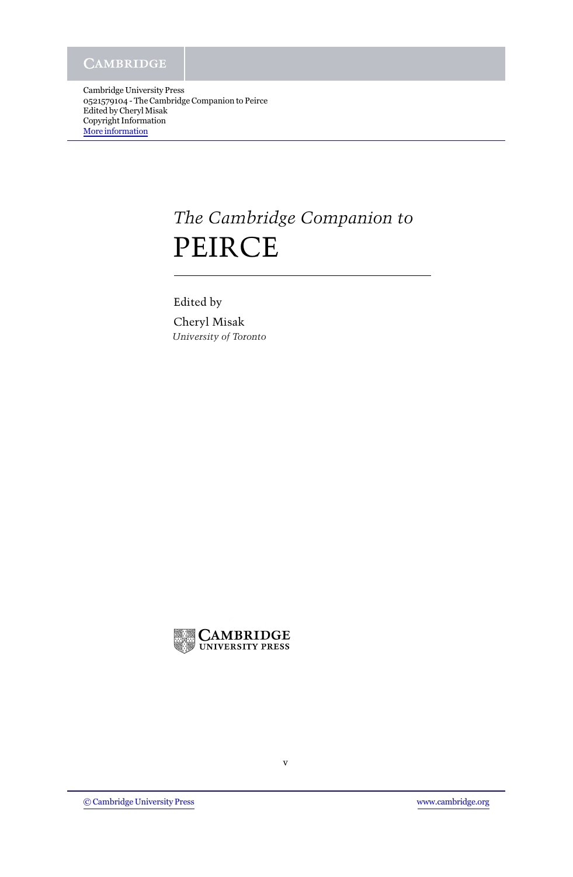Cambridge University Press 0521579104 - The Cambridge Companion to Peirce Edited by Cheryl Misak Copyright Information [More information](http://www.cambridge.org/0521579104)

## *The Cambridge Companion to* PEIRCE

Edited by Cheryl Misak *University of Toronto*